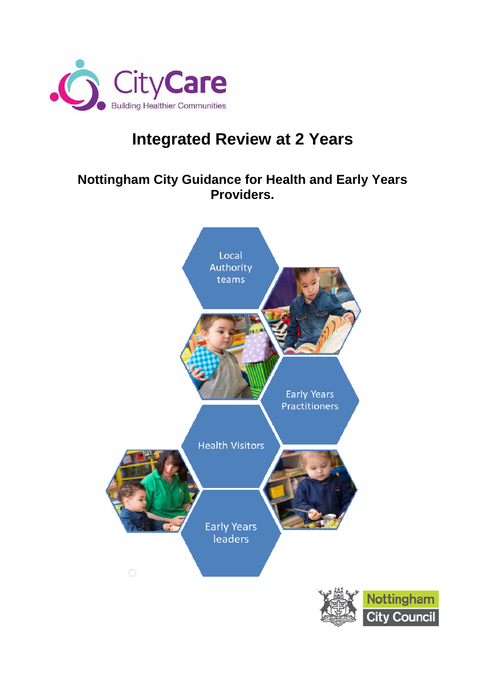

# **Integrated Review at 2 Years**

# **Nottingham City Guidance for Health and Early Years Providers.**

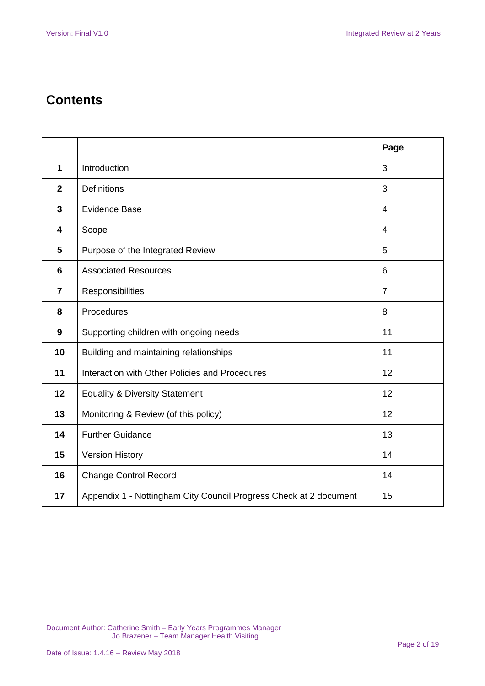# **Contents**

|                |                                                                   | Page           |
|----------------|-------------------------------------------------------------------|----------------|
| 1              | Introduction                                                      | 3              |
| $\mathbf{2}$   | <b>Definitions</b>                                                | 3              |
| $\mathbf{3}$   | Evidence Base                                                     | $\overline{4}$ |
| 4              | Scope                                                             | $\overline{4}$ |
| $5\phantom{1}$ | Purpose of the Integrated Review                                  | 5              |
| 6              | <b>Associated Resources</b>                                       | 6              |
| $\overline{7}$ | Responsibilities                                                  | $\overline{7}$ |
| 8              | Procedures                                                        | 8              |
| 9              | Supporting children with ongoing needs                            | 11             |
| 10             | Building and maintaining relationships                            | 11             |
| 11             | Interaction with Other Policies and Procedures                    | 12             |
| 12             | <b>Equality &amp; Diversity Statement</b>                         | 12             |
| 13             | Monitoring & Review (of this policy)                              | 12             |
| 14             | <b>Further Guidance</b>                                           | 13             |
| 15             | <b>Version History</b>                                            | 14             |
| 16             | <b>Change Control Record</b>                                      | 14             |
| 17             | Appendix 1 - Nottingham City Council Progress Check at 2 document | 15             |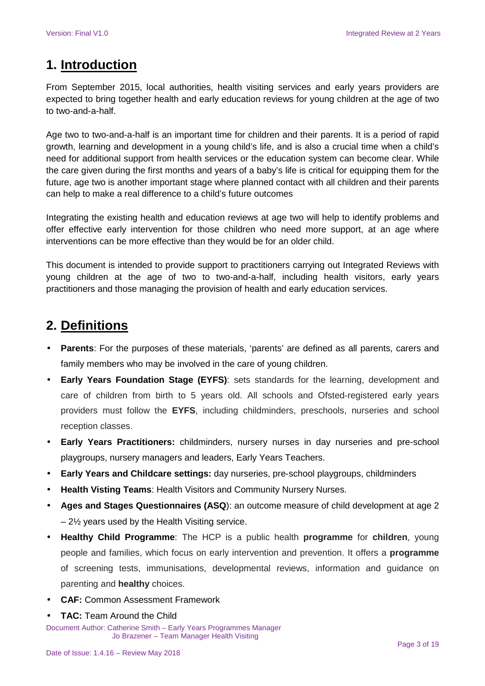# **1. Introduction**

From September 2015, local authorities, health visiting services and early years providers are expected to bring together health and early education reviews for young children at the age of two to two-and-a-half.

Age two to two-and-a-half is an important time for children and their parents. It is a period of rapid growth, learning and development in a young child's life, and is also a crucial time when a child's need for additional support from health services or the education system can become clear. While the care given during the first months and years of a baby's life is critical for equipping them for the future, age two is another important stage where planned contact with all children and their parents can help to make a real difference to a child's future outcomes

Integrating the existing health and education reviews at age two will help to identify problems and offer effective early intervention for those children who need more support, at an age where interventions can be more effective than they would be for an older child.

This document is intended to provide support to practitioners carrying out Integrated Reviews with young children at the age of two to two-and-a-half, including health visitors, early years practitioners and those managing the provision of health and early education services.

# **2. Definitions**

- **Parents**: For the purposes of these materials, 'parents' are defined as all parents, carers and family members who may be involved in the care of young children.
- **Early Years Foundation Stage (EYFS)**: sets standards for the learning, development and care of children from birth to 5 years old. All schools and Ofsted-registered early years providers must follow the **EYFS**, including childminders, preschools, nurseries and school reception classes.
- **Early Years Practitioners:** childminders, nursery nurses in day nurseries and pre-school playgroups, nursery managers and leaders, Early Years Teachers.
- **Early Years and Childcare settings:** day nurseries, pre-school playgroups, childminders
- **Health Visting Teams**: Health Visitors and Community Nursery Nurses.
- **Ages and Stages Questionnaires (ASQ**): an outcome measure of child development at age 2 – 2½ years used by the Health Visiting service.
- **Healthy Child Programme**: The HCP is a public health **programme** for **children**, young people and families, which focus on early intervention and prevention. It offers a **programme** of screening tests, immunisations, developmental reviews, information and guidance on parenting and **healthy** choices.
- **CAF:** Common Assessment Framework
- **TAC:** Team Around the Child

Document Author: Catherine Smith – Early Years Programmes Manager Jo Brazener – Team Manager Health Visiting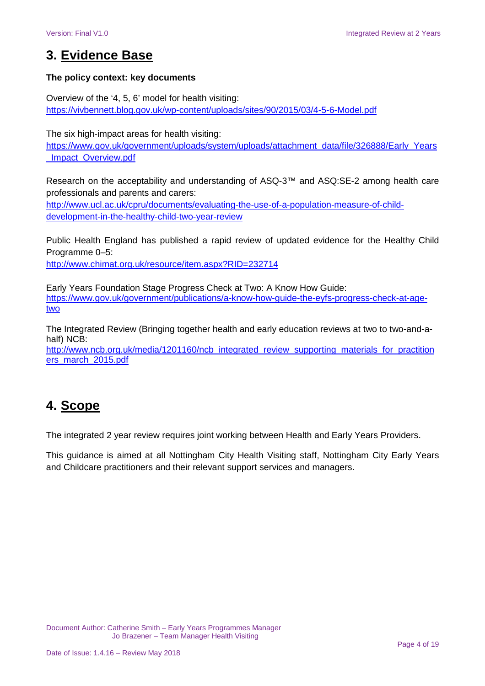# **3. Evidence Base**

### **The policy context: key documents**

Overview of the '4, 5, 6' model for health visiting: https://vivbennett.blog.gov.uk/wp-content/uploads/sites/90/2015/03/4-5-6-Model.pdf

The six high-impact areas for health visiting:

https://www.gov.uk/government/uploads/system/uploads/attachment\_data/file/326888/Early\_Years \_Impact\_Overview.pdf

Research on the acceptability and understanding of ASQ-3™ and ASQ:SE-2 among health care professionals and parents and carers:

http://www.ucl.ac.uk/cpru/documents/evaluating-the-use-of-a-population-measure-of-childdevelopment-in-the-healthy-child-two-year-review

Public Health England has published a rapid review of updated evidence for the Healthy Child Programme 0–5: http://www.chimat.org.uk/resource/item.aspx?RID=232714

Early Years Foundation Stage Progress Check at Two: A Know How Guide: https://www.gov.uk/government/publications/a-know-how-guide-the-eyfs-progress-check-at-agetwo

The Integrated Review (Bringing together health and early education reviews at two to two-and-ahalf) NCB:

http://www.ncb.org.uk/media/1201160/ncb\_integrated\_review\_supporting\_materials\_for\_practition ers\_march\_2015.pdf

# **4. Scope**

The integrated 2 year review requires joint working between Health and Early Years Providers.

This guidance is aimed at all Nottingham City Health Visiting staff, Nottingham City Early Years and Childcare practitioners and their relevant support services and managers.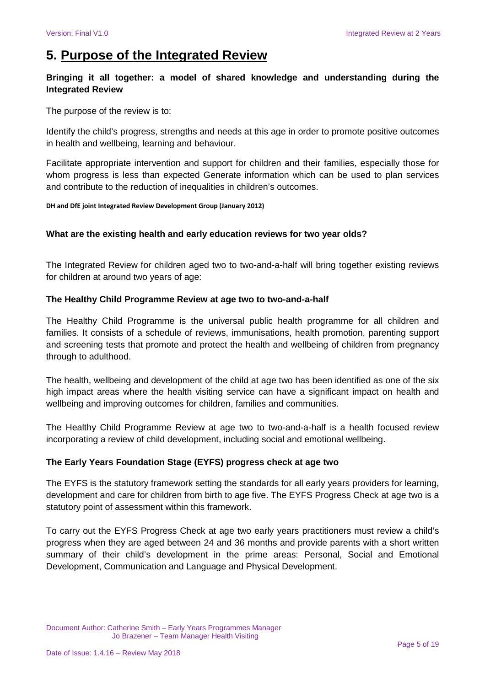# **5. Purpose of the Integrated Review**

### **Bringing it all together: a model of shared knowledge and understanding during the Integrated Review**

The purpose of the review is to:

Identify the child's progress, strengths and needs at this age in order to promote positive outcomes in health and wellbeing, learning and behaviour.

Facilitate appropriate intervention and support for children and their families, especially those for whom progress is less than expected Generate information which can be used to plan services and contribute to the reduction of inequalities in children's outcomes.

#### **DH and DfE joint Integrated Review Development Group (January 2012)**

#### **What are the existing health and early education reviews for two year olds?**

The Integrated Review for children aged two to two-and-a-half will bring together existing reviews for children at around two years of age:

#### **The Healthy Child Programme Review at age two to two-and-a-half**

The Healthy Child Programme is the universal public health programme for all children and families. It consists of a schedule of reviews, immunisations, health promotion, parenting support and screening tests that promote and protect the health and wellbeing of children from pregnancy through to adulthood.

The health, wellbeing and development of the child at age two has been identified as one of the six high impact areas where the health visiting service can have a significant impact on health and wellbeing and improving outcomes for children, families and communities.

The Healthy Child Programme Review at age two to two-and-a-half is a health focused review incorporating a review of child development, including social and emotional wellbeing.

#### **The Early Years Foundation Stage (EYFS) progress check at age two**

The EYFS is the statutory framework setting the standards for all early years providers for learning, development and care for children from birth to age five. The EYFS Progress Check at age two is a statutory point of assessment within this framework.

To carry out the EYFS Progress Check at age two early years practitioners must review a child's progress when they are aged between 24 and 36 months and provide parents with a short written summary of their child's development in the prime areas: Personal, Social and Emotional Development, Communication and Language and Physical Development.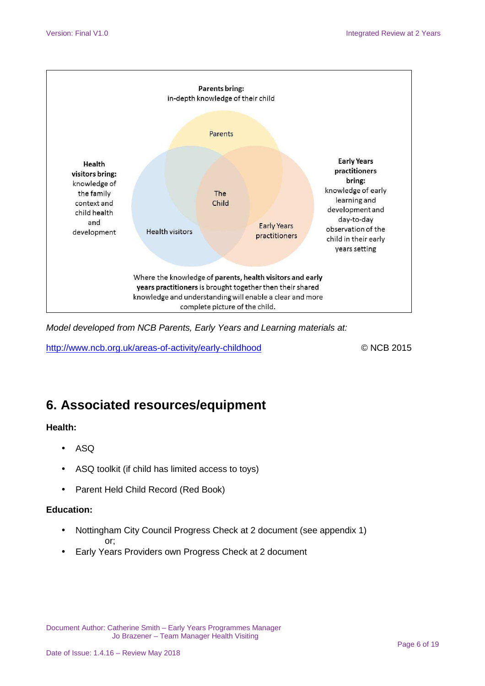

Model developed from NCB Parents, Early Years and Learning materials at:

http://www.ncb.org.uk/areas-of-activity/early-childhood © NCB 2015

# **6. Associated resources/equipment**

### **Health:**

- ASQ
- ASQ toolkit (if child has limited access to toys)
- Parent Held Child Record (Red Book)

### **Education:**

- Nottingham City Council Progress Check at 2 document (see appendix 1) or;
- Early Years Providers own Progress Check at 2 document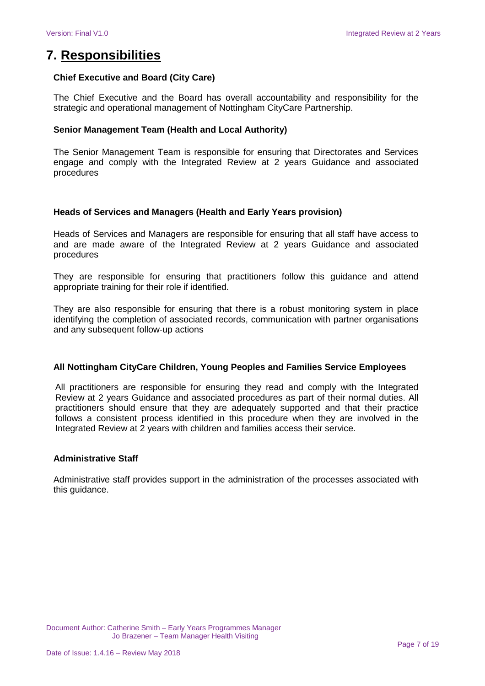### **7. Responsibilities**

#### **Chief Executive and Board (City Care)**

The Chief Executive and the Board has overall accountability and responsibility for the strategic and operational management of Nottingham CityCare Partnership.

#### **Senior Management Team (Health and Local Authority)**

The Senior Management Team is responsible for ensuring that Directorates and Services engage and comply with the Integrated Review at 2 years Guidance and associated procedures

#### **Heads of Services and Managers (Health and Early Years provision)**

Heads of Services and Managers are responsible for ensuring that all staff have access to and are made aware of the Integrated Review at 2 years Guidance and associated procedures

They are responsible for ensuring that practitioners follow this guidance and attend appropriate training for their role if identified.

They are also responsible for ensuring that there is a robust monitoring system in place identifying the completion of associated records, communication with partner organisations and any subsequent follow-up actions

#### **All Nottingham CityCare Children, Young Peoples and Families Service Employees**

All practitioners are responsible for ensuring they read and comply with the Integrated Review at 2 years Guidance and associated procedures as part of their normal duties. All practitioners should ensure that they are adequately supported and that their practice follows a consistent process identified in this procedure when they are involved in the Integrated Review at 2 years with children and families access their service.

#### **Administrative Staff**

Administrative staff provides support in the administration of the processes associated with this guidance.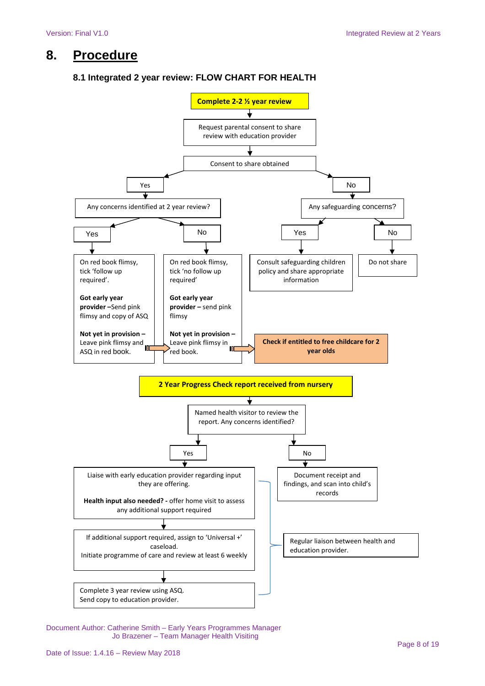# **8. Procedure**

### **8.1 Integrated 2 year review: FLOW CHART FOR HEALTH**

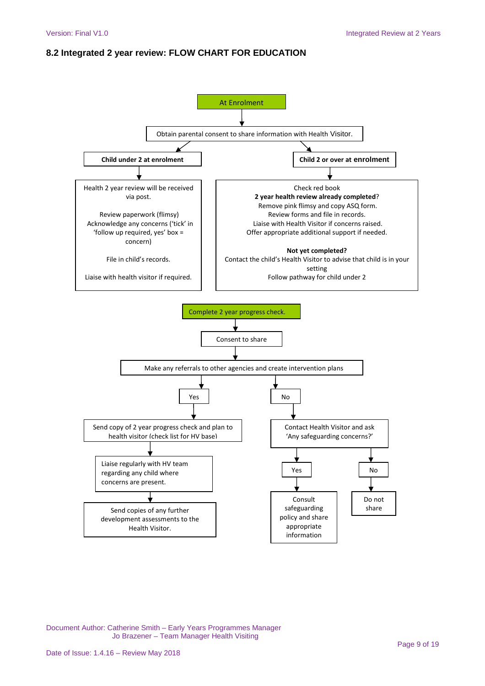### **8.2 Integrated 2 year review: FLOW CHART FOR EDUCATION**

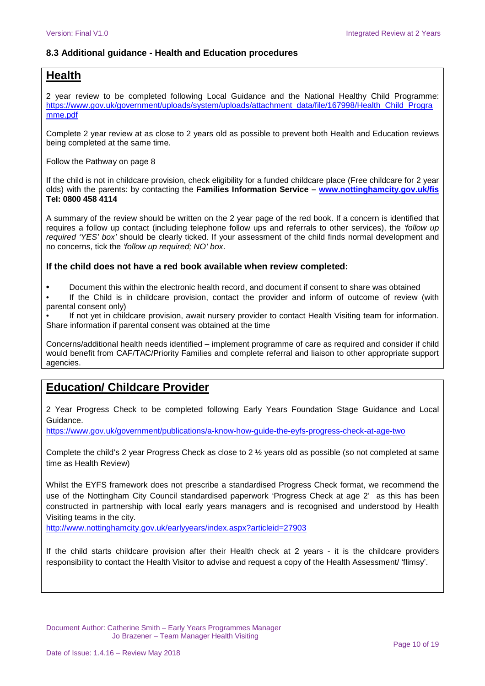### **8.3 Additional guidance - Health and Education procedures**

### **Health**

2 year review to be completed following Local Guidance and the National Healthy Child Programme: https://www.gov.uk/government/uploads/system/uploads/attachment\_data/file/167998/Health\_Child\_Progra mme.pdf

Complete 2 year review at as close to 2 years old as possible to prevent both Health and Education reviews being completed at the same time.

Follow the Pathway on page 8

If the child is not in childcare provision, check eligibility for a funded childcare place (Free childcare for 2 year olds) with the parents: by contacting the **Families Information Service – www.nottinghamcity.gov.uk/fis Tel: 0800 458 4114**

A summary of the review should be written on the 2 year page of the red book. If a concern is identified that requires a follow up contact (including telephone follow ups and referrals to other services), the 'follow up required 'YES' box' should be clearly ticked. If your assessment of the child finds normal development and no concerns, tick the 'follow up required; NO' box.

#### **If the child does not have a red book available when review completed:**

**•** Document this within the electronic health record, and document if consent to share was obtained

If the Child is in childcare provision, contact the provider and inform of outcome of review (with parental consent only)

If not yet in childcare provision, await nursery provider to contact Health Visiting team for information. Share information if parental consent was obtained at the time

Concerns/additional health needs identified – implement programme of care as required and consider if child would benefit from CAF/TAC/Priority Families and complete referral and liaison to other appropriate support agencies.

### **Education/ Childcare Provider**

2 Year Progress Check to be completed following Early Years Foundation Stage Guidance and Local Guidance.

https://www.gov.uk/government/publications/a-know-how-guide-the-eyfs-progress-check-at-age-two

Complete the child's 2 year Progress Check as close to 2 ½ years old as possible (so not completed at same time as Health Review)

Whilst the EYFS framework does not prescribe a standardised Progress Check format, we recommend the use of the Nottingham City Council standardised paperwork 'Progress Check at age 2' as this has been constructed in partnership with local early years managers and is recognised and understood by Health Visiting teams in the city.

http://www.nottinghamcity.gov.uk/earlyyears/index.aspx?articleid=27903

If the child starts childcare provision after their Health check at 2 years - it is the childcare providers responsibility to contact the Health Visitor to advise and request a copy of the Health Assessment/ 'flimsy'.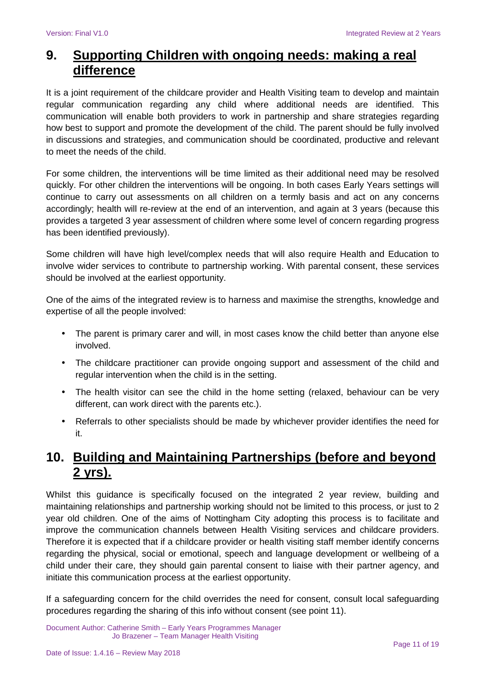# **9. Supporting Children with ongoing needs: making a real difference**

It is a joint requirement of the childcare provider and Health Visiting team to develop and maintain regular communication regarding any child where additional needs are identified. This communication will enable both providers to work in partnership and share strategies regarding how best to support and promote the development of the child. The parent should be fully involved in discussions and strategies, and communication should be coordinated, productive and relevant to meet the needs of the child.

For some children, the interventions will be time limited as their additional need may be resolved quickly. For other children the interventions will be ongoing. In both cases Early Years settings will continue to carry out assessments on all children on a termly basis and act on any concerns accordingly; health will re-review at the end of an intervention, and again at 3 years (because this provides a targeted 3 year assessment of children where some level of concern regarding progress has been identified previously).

Some children will have high level/complex needs that will also require Health and Education to involve wider services to contribute to partnership working. With parental consent, these services should be involved at the earliest opportunity.

One of the aims of the integrated review is to harness and maximise the strengths, knowledge and expertise of all the people involved:

- The parent is primary carer and will, in most cases know the child better than anyone else involved.
- The childcare practitioner can provide ongoing support and assessment of the child and regular intervention when the child is in the setting.
- The health visitor can see the child in the home setting (relaxed, behaviour can be very different, can work direct with the parents etc.).
- Referrals to other specialists should be made by whichever provider identifies the need for it.

# **10. Building and Maintaining Partnerships (before and beyond 2 yrs).**

Whilst this guidance is specifically focused on the integrated 2 year review, building and maintaining relationships and partnership working should not be limited to this process, or just to 2 year old children. One of the aims of Nottingham City adopting this process is to facilitate and improve the communication channels between Health Visiting services and childcare providers. Therefore it is expected that if a childcare provider or health visiting staff member identify concerns regarding the physical, social or emotional, speech and language development or wellbeing of a child under their care, they should gain parental consent to liaise with their partner agency, and initiate this communication process at the earliest opportunity.

If a safeguarding concern for the child overrides the need for consent, consult local safeguarding procedures regarding the sharing of this info without consent (see point 11).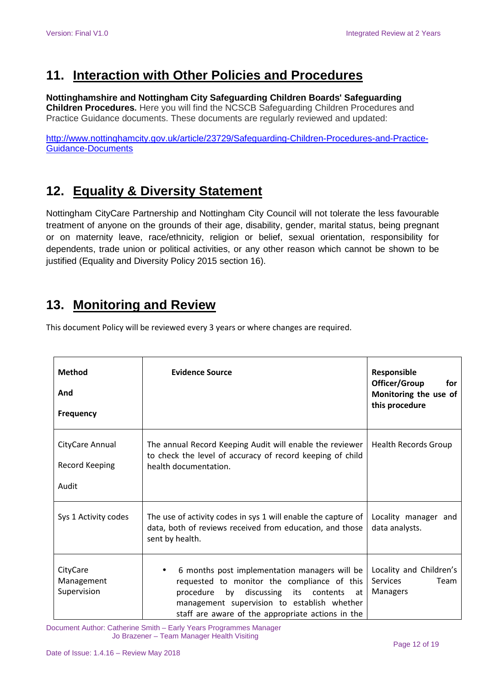# **11. Interaction with Other Policies and Procedures**

### **Nottinghamshire and Nottingham City Safeguarding Children Boards' Safeguarding**

**Children Procedures.** Here you will find the NCSCB Safeguarding Children Procedures and Practice Guidance documents. These documents are regularly reviewed and updated:

http://www.nottinghamcity.gov.uk/article/23729/Safeguarding-Children-Procedures-and-Practice-Guidance-Documents

# **12. Equality & Diversity Statement**

Nottingham CityCare Partnership and Nottingham City Council will not tolerate the less favourable treatment of anyone on the grounds of their age, disability, gender, marital status, being pregnant or on maternity leave, race/ethnicity, religion or belief, sexual orientation, responsibility for dependents, trade union or political activities, or any other reason which cannot be shown to be justified (Equality and Diversity Policy 2015 section 16).

# **13. Monitoring and Review**

This document Policy will be reviewed every 3 years or where changes are required.

| <b>Method</b><br>And<br>Frequency                 | <b>Evidence Source</b>                                                                                                                                                                                                                                               | Responsible<br>Officer/Group<br>for<br>Monitoring the use of<br>this procedure |
|---------------------------------------------------|----------------------------------------------------------------------------------------------------------------------------------------------------------------------------------------------------------------------------------------------------------------------|--------------------------------------------------------------------------------|
| CityCare Annual<br><b>Record Keeping</b><br>Audit | The annual Record Keeping Audit will enable the reviewer<br>to check the level of accuracy of record keeping of child<br>health documentation.                                                                                                                       | <b>Health Records Group</b>                                                    |
| Sys 1 Activity codes                              | The use of activity codes in sys 1 will enable the capture of<br>data, both of reviews received from education, and those<br>sent by health.                                                                                                                         | Locality manager and<br>data analysts.                                         |
| CityCare<br>Management<br>Supervision             | 6 months post implementation managers will be<br>$\bullet$<br>requested to monitor the compliance of this<br>procedure<br>by<br>discussing<br>its contents<br>at<br>management supervision to establish whether<br>staff are aware of the appropriate actions in the | Locality and Children's<br>Services<br>Team<br><b>Managers</b>                 |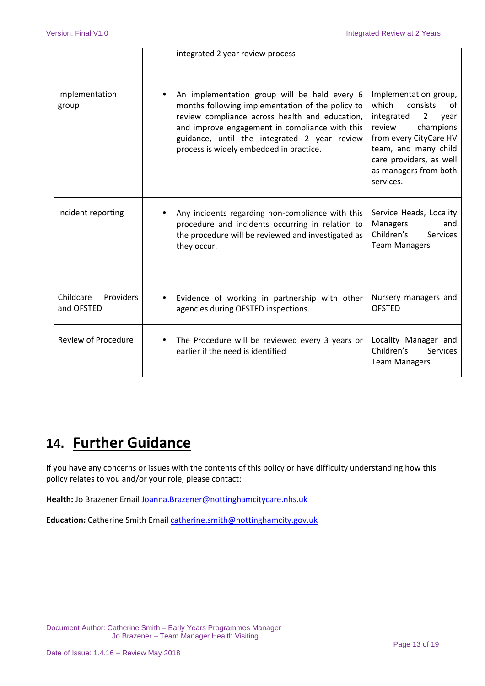|                                      | integrated 2 year review process                                                                                                                                                                                                                                                                |                                                                                                                                                                                                                                    |
|--------------------------------------|-------------------------------------------------------------------------------------------------------------------------------------------------------------------------------------------------------------------------------------------------------------------------------------------------|------------------------------------------------------------------------------------------------------------------------------------------------------------------------------------------------------------------------------------|
| Implementation<br>group              | An implementation group will be held every 6<br>months following implementation of the policy to<br>review compliance across health and education,<br>and improve engagement in compliance with this<br>guidance, until the integrated 2 year review<br>process is widely embedded in practice. | Implementation group,<br>which<br>consists<br>οf<br>integrated<br>$\overline{2}$<br>vear<br>review<br>champions<br>from every CityCare HV<br>team, and many child<br>care providers, as well<br>as managers from both<br>services. |
| Incident reporting                   | Any incidents regarding non-compliance with this<br>procedure and incidents occurring in relation to<br>the procedure will be reviewed and investigated as<br>they occur.                                                                                                                       | Service Heads, Locality<br>Managers<br>and<br>Children's<br><b>Services</b><br><b>Team Managers</b>                                                                                                                                |
| Childcare<br>Providers<br>and OFSTED | Evidence of working in partnership with other<br>agencies during OFSTED inspections.                                                                                                                                                                                                            | Nursery managers and<br><b>OFSTED</b>                                                                                                                                                                                              |
| <b>Review of Procedure</b>           | The Procedure will be reviewed every 3 years or<br>earlier if the need is identified                                                                                                                                                                                                            | Locality Manager and<br>Children's<br><b>Services</b><br><b>Team Managers</b>                                                                                                                                                      |

# **14. Further Guidance**

If you have any concerns or issues with the contents of this policy or have difficulty understanding how this policy relates to you and/or your role, please contact:

**Health:** Jo Brazener Email Joanna.Brazener@nottinghamcitycare.nhs.uk

**Education:** Catherine Smith Email catherine.smith@nottinghamcity.gov.uk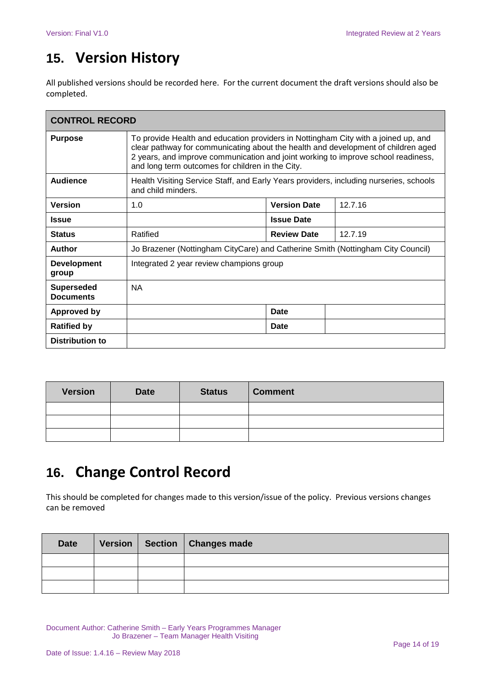# **15. Version History**

All published versions should be recorded here. For the current document the draft versions should also be completed.

| <b>CONTROL RECORD</b>                 |                                                                                                                                                                                                                                                                                                                  |                     |         |  |  |
|---------------------------------------|------------------------------------------------------------------------------------------------------------------------------------------------------------------------------------------------------------------------------------------------------------------------------------------------------------------|---------------------|---------|--|--|
| <b>Purpose</b>                        | To provide Health and education providers in Nottingham City with a joined up, and<br>clear pathway for communicating about the health and development of children aged<br>2 years, and improve communication and joint working to improve school readiness,<br>and long term outcomes for children in the City. |                     |         |  |  |
| Audience                              | Health Visiting Service Staff, and Early Years providers, including nurseries, schools<br>and child minders.                                                                                                                                                                                                     |                     |         |  |  |
| <b>Version</b>                        | 1.0                                                                                                                                                                                                                                                                                                              | <b>Version Date</b> | 12.7.16 |  |  |
| <b>Issue</b>                          |                                                                                                                                                                                                                                                                                                                  | <b>Issue Date</b>   |         |  |  |
| <b>Status</b>                         | Ratified                                                                                                                                                                                                                                                                                                         | <b>Review Date</b>  | 12.7.19 |  |  |
| <b>Author</b>                         | Jo Brazener (Nottingham CityCare) and Catherine Smith (Nottingham City Council)                                                                                                                                                                                                                                  |                     |         |  |  |
| <b>Development</b><br>group           | Integrated 2 year review champions group                                                                                                                                                                                                                                                                         |                     |         |  |  |
| <b>Superseded</b><br><b>Documents</b> | <b>NA</b>                                                                                                                                                                                                                                                                                                        |                     |         |  |  |
| <b>Approved by</b>                    |                                                                                                                                                                                                                                                                                                                  | Date                |         |  |  |
| <b>Ratified by</b>                    |                                                                                                                                                                                                                                                                                                                  | Date                |         |  |  |
| <b>Distribution to</b>                |                                                                                                                                                                                                                                                                                                                  |                     |         |  |  |

| <b>Version</b> | <b>Date</b> | <b>Status</b> | <b>Comment</b> |
|----------------|-------------|---------------|----------------|
|                |             |               |                |
|                |             |               |                |
|                |             |               |                |

# **16. Change Control Record**

This should be completed for changes made to this version/issue of the policy. Previous versions changes can be removed

| <b>Date</b> |  | Version   Section   Changes made |
|-------------|--|----------------------------------|
|             |  |                                  |
|             |  |                                  |
|             |  |                                  |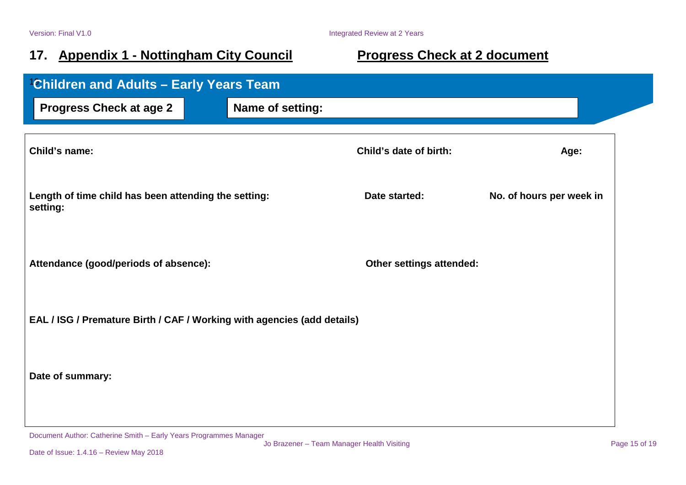# 17. Appendix 1 - Nottingham City Council **Progress Check at 2 document**

| <b>Children and Adults - Early Years Team</b>                           |                  |                                 |                          |  |  |
|-------------------------------------------------------------------------|------------------|---------------------------------|--------------------------|--|--|
| <b>Progress Check at age 2</b>                                          | Name of setting: |                                 |                          |  |  |
| Child's name:                                                           |                  | Child's date of birth:          | Age:                     |  |  |
| Length of time child has been attending the setting:<br>setting:        |                  | Date started:                   | No. of hours per week in |  |  |
| Attendance (good/periods of absence):                                   |                  | <b>Other settings attended:</b> |                          |  |  |
| EAL / ISG / Premature Birth / CAF / Working with agencies (add details) |                  |                                 |                          |  |  |
| Date of summary:                                                        |                  |                                 |                          |  |  |
|                                                                         |                  |                                 |                          |  |  |

Document Author: Catherine Smith – Early Years Programmes Manager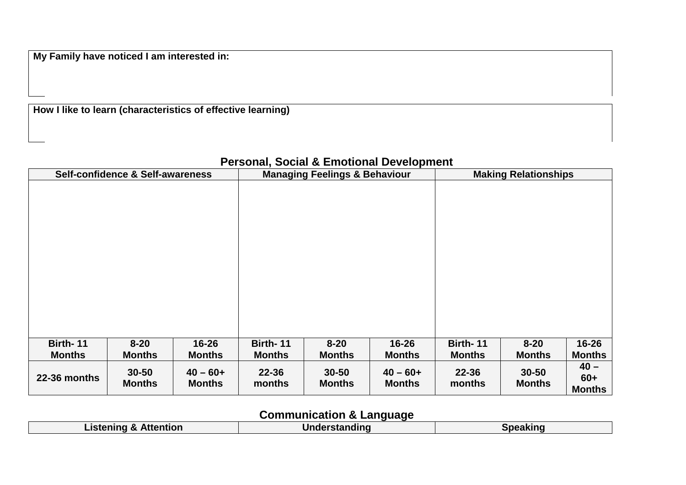**My Family have noticed I am interested in:**

**How I like to learn (characteristics of effective learning)**

### **Personal, Social & Emotional Development**

|               | Self-confidence & Self-awareness |                              | <b>Managing Feelings &amp; Behaviour</b> |                            |                              | <b>Making Relationships</b> |                            |                                  |
|---------------|----------------------------------|------------------------------|------------------------------------------|----------------------------|------------------------------|-----------------------------|----------------------------|----------------------------------|
|               |                                  |                              |                                          |                            |                              |                             |                            |                                  |
| Birth-11      | $8 - 20$                         | $16 - 26$                    | Birth-11                                 | $8 - 20$                   | $16 - 26$                    | Birth-11                    | $8 - 20$                   | $16 - 26$                        |
| <b>Months</b> | <b>Months</b>                    | <b>Months</b>                | <b>Months</b>                            | <b>Months</b>              | <b>Months</b>                | <b>Months</b>               | <b>Months</b>              | <b>Months</b>                    |
| 22-36 months  | $30 - 50$<br><b>Months</b>       | $40 - 60 +$<br><b>Months</b> | $22 - 36$<br>months                      | $30 - 50$<br><b>Months</b> | $40 - 60 +$<br><b>Months</b> | $22 - 36$<br>months         | $30 - 50$<br><b>Months</b> | $40 -$<br>$60+$<br><b>Months</b> |

# **Communication & Language**

| Listening &<br><b>ኔ Attention</b> | l In d | eakınc |
|-----------------------------------|--------|--------|
|                                   |        |        |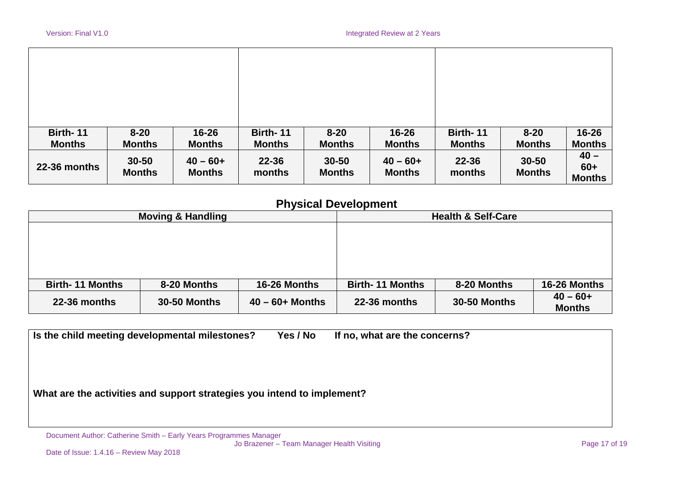| Birth-11      | $8 - 20$                   | $16 - 26$                    | Birth-11            | $8 - 20$                   | $16 - 26$                    | Birth-11            | $8 - 20$                   | $16 - 26$                        |
|---------------|----------------------------|------------------------------|---------------------|----------------------------|------------------------------|---------------------|----------------------------|----------------------------------|
| <b>Months</b> | <b>Months</b>              | <b>Months</b>                | <b>Months</b>       | <b>Months</b>              | <b>Months</b>                | <b>Months</b>       | <b>Months</b>              | <b>Months</b>                    |
| 22-36 months  | $30 - 50$<br><b>Months</b> | $40 - 60 +$<br><b>Months</b> | $22 - 36$<br>months | $30 - 50$<br><b>Months</b> | $40 - 60 +$<br><b>Months</b> | $22 - 36$<br>months | $30 - 50$<br><b>Months</b> | $40 -$<br>$60+$<br><b>Months</b> |

### **Physical Development**

|                        | <b>Moving &amp; Handling</b> |                    |                        | <b>Health &amp; Self-Care</b> |               |
|------------------------|------------------------------|--------------------|------------------------|-------------------------------|---------------|
|                        |                              |                    |                        |                               |               |
|                        |                              |                    |                        |                               |               |
|                        |                              |                    |                        |                               |               |
|                        |                              |                    |                        |                               |               |
|                        |                              |                    |                        |                               |               |
| <b>Birth-11 Months</b> | 8-20 Months                  | 16-26 Months       | <b>Birth-11 Months</b> | 8-20 Months                   | 16-26 Months  |
|                        |                              |                    |                        |                               | $40 - 60 +$   |
| 22-36 months           | <b>30-50 Months</b>          | $40 - 60 +$ Months | 22-36 months           | <b>30-50 Months</b>           | <b>Months</b> |

**Is the child meeting developmental milestones? Yes / No If no, what are the concerns?** 

**What are the activities and support strategies you intend to implement?** 

Document Author: Catherine Smith – Early Years Programmes Manager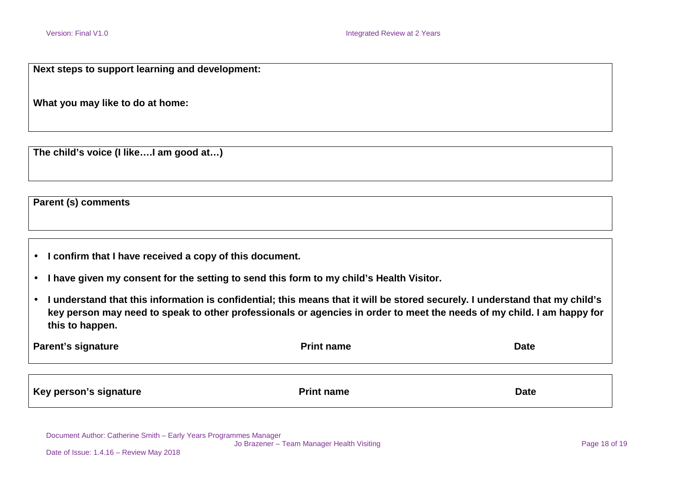**Next steps to support learning and development:**

**What you may like to do at home:** 

**The child's voice (I like….I am good at…)**

**Parent (s) comments** 

- **I confirm that I have received a copy of this document.**
- **I have given my consent for the setting to send this form to my child's Health Visitor.**
- **I understand that this information is confidential; this means that it will be stored securely. I understand that my child's key person may need to speak to other professionals or agencies in order to meet the needs of my child. I am happy for this to happen.**

| <b>Parent's signature</b> | <b>Print name</b> | <b>Date</b> |
|---------------------------|-------------------|-------------|
|                           |                   |             |
| Key person's signature    | <b>Print name</b> | <b>Date</b> |

Document Author: Catherine Smith – Early Years Programmes Manager